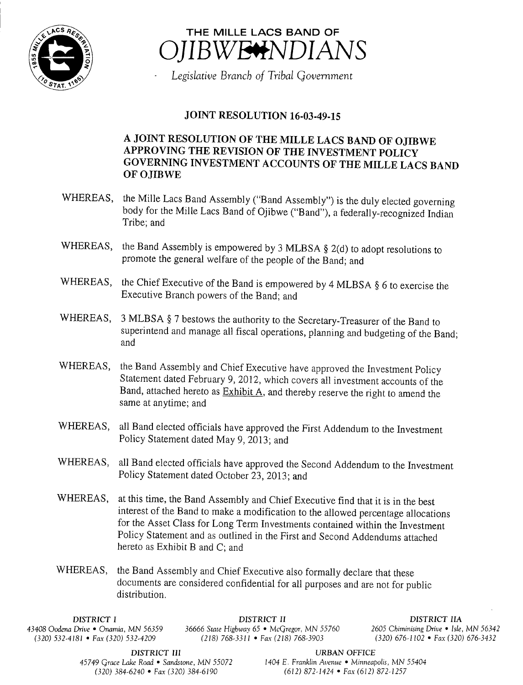



Legislative Branch of Tribal Government

## JOINT RESOLUTION 16-03-49-15

## A JOINT RESOLUTION OF THE MILLE LACS BAND OF OJIBWE APPROVING THE REVISION OF THE INVESTMENT POLICY GOVERNING INVESTMENT ACCOUNTS OF THE MILLE LACS BAND OF OJIBWE

- WHEREAS, the Mille Lacs Band Assembly ("Band Assembly") is the duly elected governing body for the Mille Lacs Band of Ojibwe ("Band"), a federally-recognized Indian Tribe; and
- WHEREAS, the Band Assembly is empowered by 3 MLBSA  $\S$  2(d) to adopt resolutions to promote the general welfare of the people of the Band; and
- WHEREAS, the Chief Executive of the Band is empowered by 4 MLBSA § 6 to exercise the Executive Branch powers of the Band; and
- WHEREAS, 3 MLBSA § 7 bestows the authority to the Secretary-Treasurer of the Band to superintend and manage all fiscal operations, planning and budgeting of the Band; and
- WHEREAS, the Band Assembly and Chief Executive have approved the Investment Policy Statement dated February 9, 2012, which covers all investment accounts of the Band, attached hereto as Exhibit A, and thereby reserve the right to amend the same at anytime; and
- WHEREAS, all Band elected officials have approved the First Addendum to the Investment Policy Statement dated May 9, 2013; and
- WHEREAS, all Band elected officials have approved the Second Addendum to the Investment Policy Statement dated October 23, 2013; and
- WHEREAS, at this time, the Band Assembly and Chief Executive find that it is in the best interest of the Band to make <sup>a</sup> modification to the allowed percentage allocations for the Asset Class for Long Term Investments contained within the Investment Policy Statement and as outlined in the First and Second Addendums attached hereto as Exhibit B and C; and
- WHEREAS, the Band Assembly and Chief Executive also formally declare that these documents are considered confidential for all purposes and are not for public distribution.

43408 Oodena Drive • Onamia, MN 56359 36666 State Highway 65 • McGregor, MN 55760 <sup>2605</sup> Chiminising Drive • Isle, MN 56342 (320) 532-4181 • Fax(320) 532-4209

DISTRICT I DISTRICT II DISTRICT IIA

45749 Grace Lake Road • Sandstone, MN 55072

**DISTRICT III** URBAN OFFICE<br>
ke Road • Sandstone, MN 55072 1404 E. Franklin Avenue • Minneapolis, MN 55404 320) 384- 6240 • Fax( 320) 384- 6190 612) 872- 1424 • Fax( 612) 872- 1257